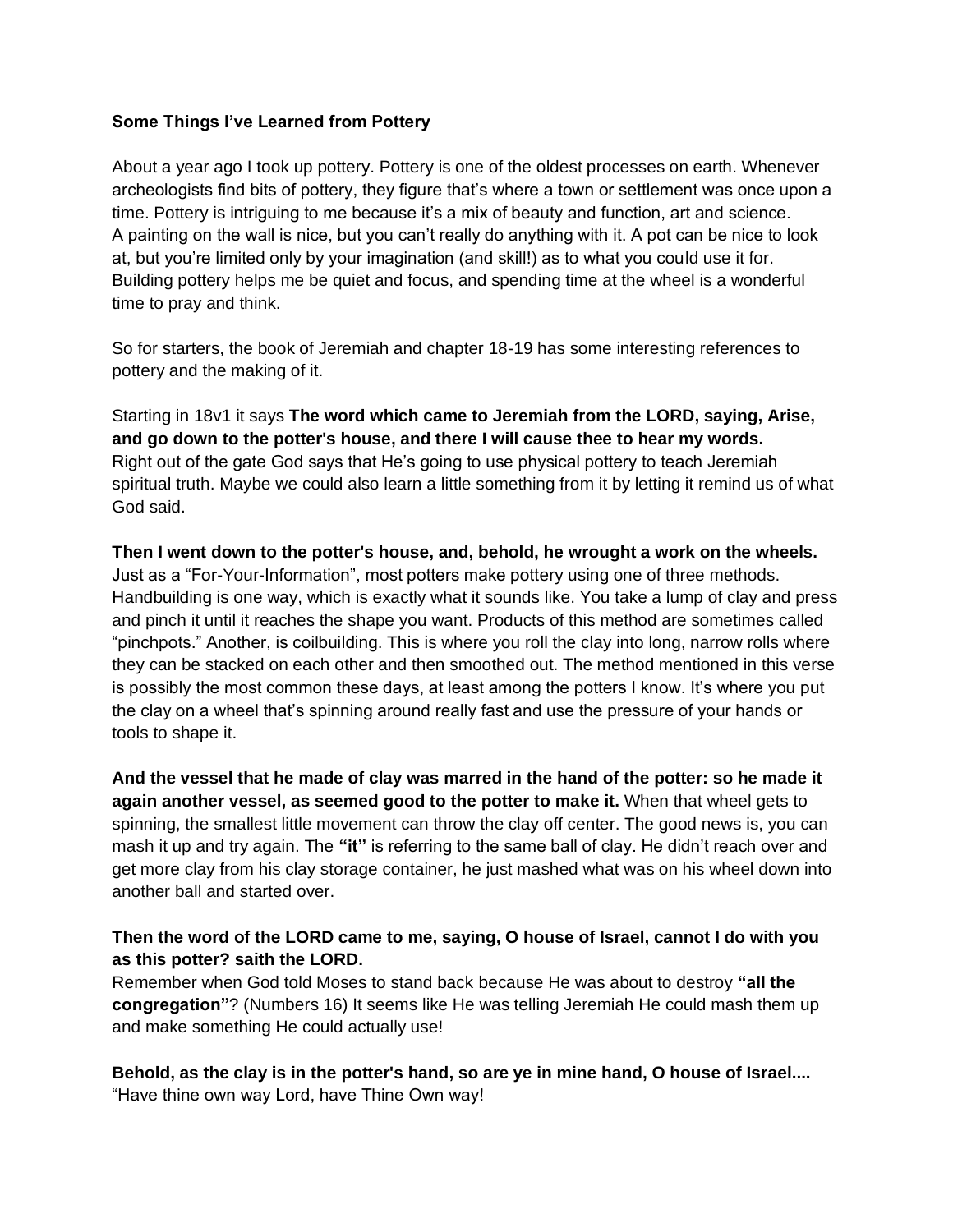## **Some Things I've Learned from Pottery**

About a year ago I took up pottery. Pottery is one of the oldest processes on earth. Whenever archeologists find bits of pottery, they figure that's where a town or settlement was once upon a time. Pottery is intriguing to me because it's a mix of beauty and function, art and science. A painting on the wall is nice, but you can't really do anything with it. A pot can be nice to look at, but you're limited only by your imagination (and skill!) as to what you could use it for. Building pottery helps me be quiet and focus, and spending time at the wheel is a wonderful time to pray and think.

So for starters, the book of Jeremiah and chapter 18-19 has some interesting references to pottery and the making of it.

Starting in 18v1 it says **The word which came to Jeremiah from the LORD, saying, Arise, and go down to the potter's house, and there I will cause thee to hear my words.**  Right out of the gate God says that He's going to use physical pottery to teach Jeremiah spiritual truth. Maybe we could also learn a little something from it by letting it remind us of what God said.

**Then I went down to the potter's house, and, behold, he wrought a work on the wheels.**  Just as a "For-Your-Information", most potters make pottery using one of three methods. Handbuilding is one way, which is exactly what it sounds like. You take a lump of clay and press and pinch it until it reaches the shape you want. Products of this method are sometimes called "pinchpots." Another, is coilbuilding. This is where you roll the clay into long, narrow rolls where they can be stacked on each other and then smoothed out. The method mentioned in this verse is possibly the most common these days, at least among the potters I know. It's where you put the clay on a wheel that's spinning around really fast and use the pressure of your hands or tools to shape it.

**And the vessel that he made of clay was marred in the hand of the potter: so he made it again another vessel, as seemed good to the potter to make it.** When that wheel gets to spinning, the smallest little movement can throw the clay off center. The good news is, you can mash it up and try again. The **"it"** is referring to the same ball of clay. He didn't reach over and get more clay from his clay storage container, he just mashed what was on his wheel down into another ball and started over.

## **Then the word of the LORD came to me, saying, O house of Israel, cannot I do with you as this potter? saith the LORD.**

Remember when God told Moses to stand back because He was about to destroy **"all the congregation"**? (Numbers 16) It seems like He was telling Jeremiah He could mash them up and make something He could actually use!

**Behold, as the clay is in the potter's hand, so are ye in mine hand, O house of Israel....** "Have thine own way Lord, have Thine Own way!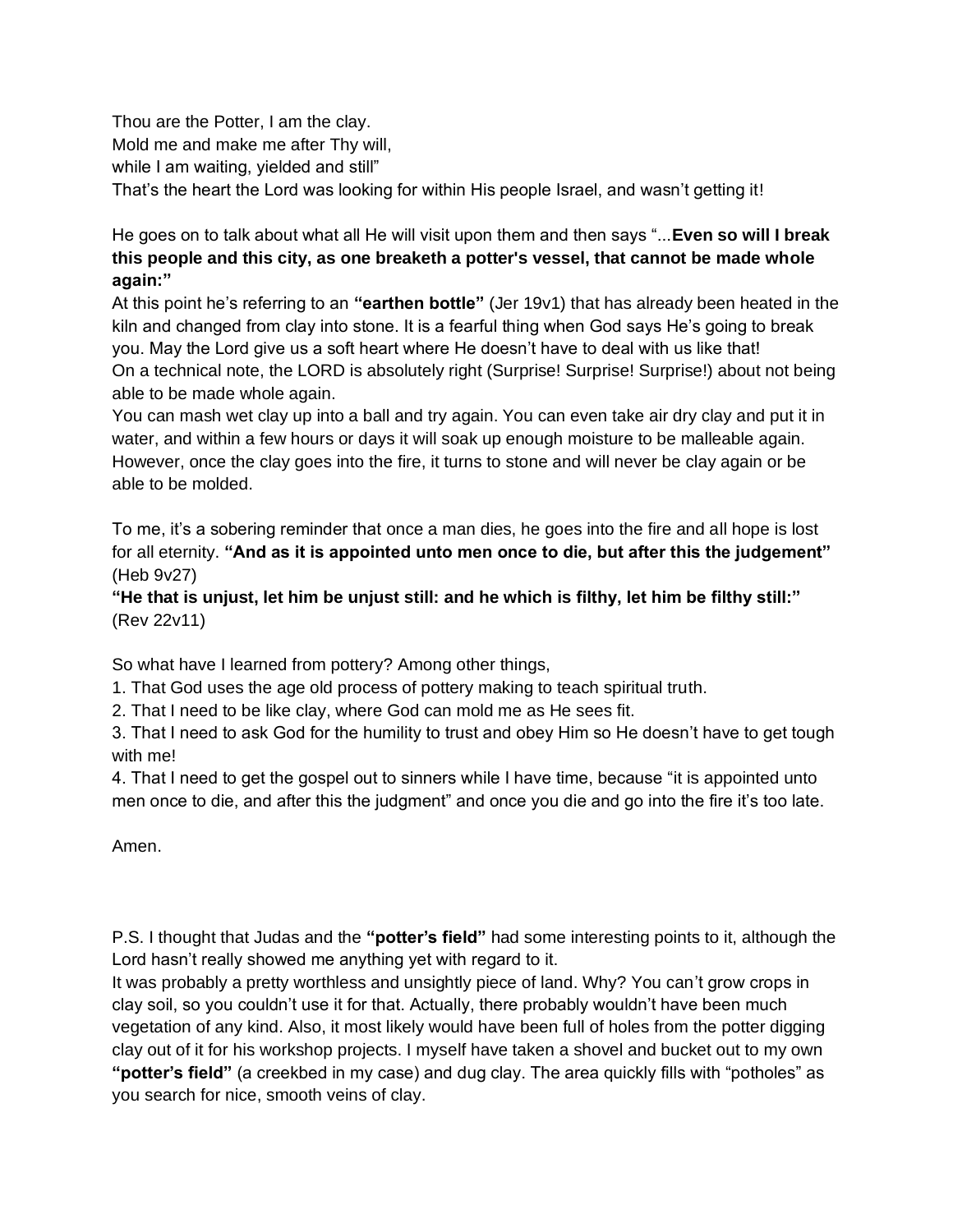Thou are the Potter, I am the clay. Mold me and make me after Thy will, while I am waiting, yielded and still" That's the heart the Lord was looking for within His people Israel, and wasn't getting it!

He goes on to talk about what all He will visit upon them and then says "...**Even so will [I break](https://www.kingjamesbibleonline.org/Jeremiah-19-11/)  [this people and this city, as one breaketh a potter's vessel, that cannot be made whole](https://www.kingjamesbibleonline.org/Jeremiah-19-11/)  [again:"](https://www.kingjamesbibleonline.org/Jeremiah-19-11/)**

[At this point he's referring to an](https://www.kingjamesbibleonline.org/Jeremiah-19-11/) **["earthen bottle"](https://www.kingjamesbibleonline.org/Jeremiah-19-11/)** [\(Jer 19v1\) that has already been heated in the](https://www.kingjamesbibleonline.org/Jeremiah-19-11/)  [kiln and changed from clay into stone. It is a fearful thing when God says He's going to break](https://www.kingjamesbibleonline.org/Jeremiah-19-11/)  [you. May the Lord give us a soft heart where He doesn't have to deal with us like that!](https://www.kingjamesbibleonline.org/Jeremiah-19-11/) On [a technical note, the LORD is absolutely right \(Surprise! Surprise! Surprise!\) about not being](https://www.kingjamesbibleonline.org/Jeremiah-19-11/)  [able to be made whole again.](https://www.kingjamesbibleonline.org/Jeremiah-19-11/)

[You can mash wet clay up into a ball and try again. You can even take air dry clay and put it in](https://www.kingjamesbibleonline.org/Jeremiah-19-11/)  [water, and within a few hours or days it will soak up enough moisture to be malleable again.](https://www.kingjamesbibleonline.org/Jeremiah-19-11/)  [However, once the clay goes into the fire, it turns to stone and will never be clay again or be](https://www.kingjamesbibleonline.org/Jeremiah-19-11/)  [able to be molded.](https://www.kingjamesbibleonline.org/Jeremiah-19-11/)

[To me, it's a sobering reminder that o](https://www.kingjamesbibleonline.org/Jeremiah-19-11/)nce a man dies, he goes into the fire and all hope is lost for all eternity. **"And as it is appointed unto men once to die, but after this the judgement"** (Heb 9v27)

**["He that is unjust, let him be unjust still: and he which is filthy, let him be filthy still:"](https://www.kingjamesbibleonline.org/Revelation-22-11/)** (Rev 22v11)

So what have I learned from pottery? Among other things,

1. That God uses the age old process of pottery making to teach spiritual truth.

2. That I need to be like clay, where God can mold me as He sees fit.

3. That I need to ask God for the humility to trust and obey Him so He doesn't have to get tough with me!

4. That I need to get the gospel out to sinners while I have time, because "it is appointed unto men once to die, and after this the judgment" and once you die and go into the fire it's too late.

Amen[.](https://www.kingjamesbibleonline.org/Jeremiah-19-11/)

P.S. I thought that Judas and the **"potter's field"** had some interesting points to it, although the Lord hasn't really showed me anything yet with regard to it.

It was probably a pretty worthless and unsightly piece of land. Why? You can't grow crops in clay soil, so you couldn't use it for that. Actually, there probably wouldn't have been much vegetation of any kind. Also, it most likely would have been full of holes from the potter digging clay out of it for his workshop projects. I myself have taken a shovel and bucket out to my own **"potter's field"** (a creekbed in my case) and dug clay. The area quickly fills with "potholes" as you search for nice, smooth veins of clay.